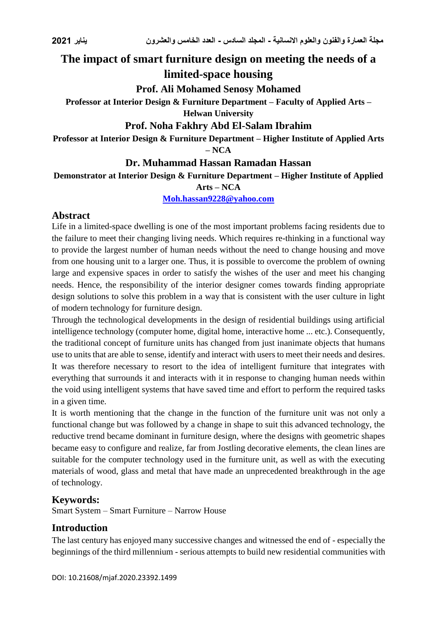# **The impact of smart furniture design on meeting the needs of a limited-space housing**

## **Prof. Ali Mohamed Senosy Mohamed**

## **Professor at Interior Design & Furniture Department – Faculty of Applied Arts – Helwan University**

## **Prof. Noha Fakhry Abd El-Salam Ibrahim**

**Professor at Interior Design & Furniture Department – Higher Institute of Applied Arts – NCA**

## **Dr. Muhammad Hassan Ramadan Hassan**

**Demonstrator at Interior Design & Furniture Department – Higher Institute of Applied** 

## **Arts – NCA**

**[Moh.hassan9228@yahoo.com](mailto:Moh.hassan9228@yahoo.com)**

## **Abstract**

Life in a limited-space dwelling is one of the most important problems facing residents due to the failure to meet their changing living needs. Which requires re-thinking in a functional way to provide the largest number of human needs without the need to change housing and move from one housing unit to a larger one. Thus, it is possible to overcome the problem of owning large and expensive spaces in order to satisfy the wishes of the user and meet his changing needs. Hence, the responsibility of the interior designer comes towards finding appropriate design solutions to solve this problem in a way that is consistent with the user culture in light of modern technology for furniture design.

Through the technological developments in the design of residential buildings using artificial intelligence technology (computer home, digital home, interactive home ... etc.). Consequently, the traditional concept of furniture units has changed from just inanimate objects that humans use to units that are able to sense, identify and interact with users to meet their needs and desires. It was therefore necessary to resort to the idea of intelligent furniture that integrates with everything that surrounds it and interacts with it in response to changing human needs within the void using intelligent systems that have saved time and effort to perform the required tasks in a given time.

It is worth mentioning that the change in the function of the furniture unit was not only a functional change but was followed by a change in shape to suit this advanced technology, the reductive trend became dominant in furniture design, where the designs with geometric shapes became easy to configure and realize, far from Jostling decorative elements, the clean lines are suitable for the computer technology used in the furniture unit, as well as with the executing materials of wood, glass and metal that have made an unprecedented breakthrough in the age of technology.

## **Keywords:**

Smart System – Smart Furniture – Narrow House

## **Introduction**

The last century has enjoyed many successive changes and witnessed the end of - especially the beginnings of the third millennium - serious attempts to build new residential communities with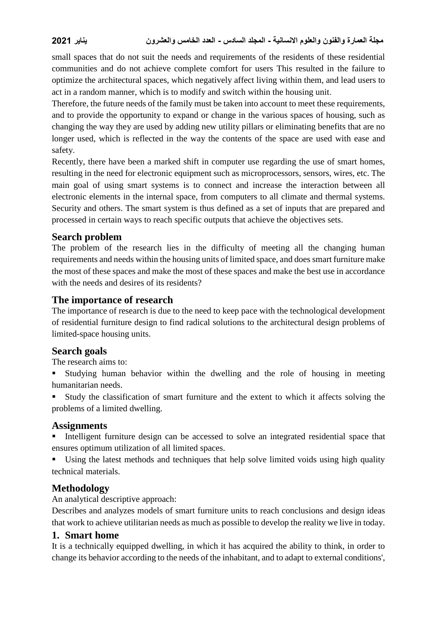small spaces that do not suit the needs and requirements of the residents of these residential communities and do not achieve complete comfort for users This resulted in the failure to optimize the architectural spaces, which negatively affect living within them, and lead users to act in a random manner, which is to modify and switch within the housing unit.

Therefore, the future needs of the family must be taken into account to meet these requirements, and to provide the opportunity to expand or change in the various spaces of housing, such as changing the way they are used by adding new utility pillars or eliminating benefits that are no longer used, which is reflected in the way the contents of the space are used with ease and safety.

Recently, there have been a marked shift in computer use regarding the use of smart homes, resulting in the need for electronic equipment such as microprocessors, sensors, wires, etc. The main goal of using smart systems is to connect and increase the interaction between all electronic elements in the internal space, from computers to all climate and thermal systems. Security and others. The smart system is thus defined as a set of inputs that are prepared and processed in certain ways to reach specific outputs that achieve the objectives sets.

## **Search problem**

The problem of the research lies in the difficulty of meeting all the changing human requirements and needs within the housing units of limited space, and does smart furniture make the most of these spaces and make the most of these spaces and make the best use in accordance with the needs and desires of its residents?

## **The importance of research**

The importance of research is due to the need to keep pace with the technological development of residential furniture design to find radical solutions to the architectural design problems of limited-space housing units.

## **Search goals**

The research aims to:

 Studying human behavior within the dwelling and the role of housing in meeting humanitarian needs.

 Study the classification of smart furniture and the extent to which it affects solving the problems of a limited dwelling.

## **Assignments**

Intelligent furniture design can be accessed to solve an integrated residential space that ensures optimum utilization of all limited spaces.

 Using the latest methods and techniques that help solve limited voids using high quality technical materials.

## **Methodology**

An analytical descriptive approach:

Describes and analyzes models of smart furniture units to reach conclusions and design ideas that work to achieve utilitarian needs as much as possible to develop the reality we live in today.

## **1. Smart home**

It is a technically equipped dwelling, in which it has acquired the ability to think, in order to change its behavior according to the needs of the inhabitant, and to adapt to external conditions',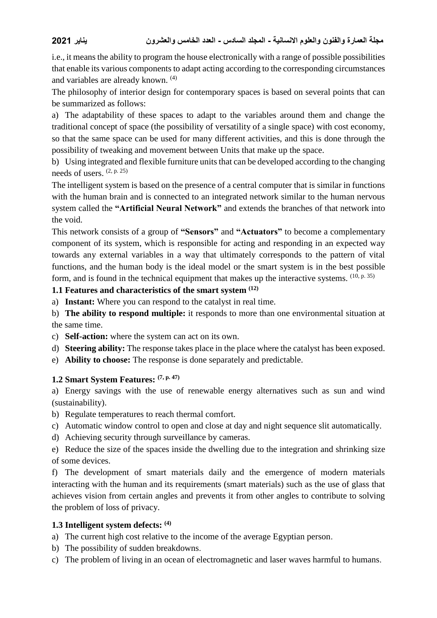i.e., it means the ability to program the house electronically with a range of possible possibilities that enable its various components to adapt acting according to the corresponding circumstances and variables are already known. (4)

The philosophy of interior design for contemporary spaces is based on several points that can be summarized as follows:

a) The adaptability of these spaces to adapt to the variables around them and change the traditional concept of space (the possibility of versatility of a single space) with cost economy, so that the same space can be used for many different activities, and this is done through the possibility of tweaking and movement between Units that make up the space.

b) Using integrated and flexible furniture units that can be developed according to the changing needs of users.  $(2, p. 25)$ 

The intelligent system is based on the presence of a central computer that is similar in functions with the human brain and is connected to an integrated network similar to the human nervous system called the **"Artificial Neural Network"** and extends the branches of that network into the void.

This network consists of a group of **"Sensors"** and **"Actuators"** to become a complementary component of its system, which is responsible for acting and responding in an expected way towards any external variables in a way that ultimately corresponds to the pattern of vital functions, and the human body is the ideal model or the smart system is in the best possible form, and is found in the technical equipment that makes up the interactive systems.  $(10, p. 35)$ 

#### **1.1 Features and characteristics of the smart system (12)**

a) **Instant:** Where you can respond to the catalyst in real time.

b) **The ability to respond multiple:** it responds to more than one environmental situation at the same time.

- c) **Self-action:** where the system can act on its own.
- d) **Steering ability:** The response takes place in the place where the catalyst has been exposed.
- e) **Ability to choose:** The response is done separately and predictable.

## **1.2 Smart System Features: (7, p. 47)**

a) Energy savings with the use of renewable energy alternatives such as sun and wind (sustainability).

- b) Regulate temperatures to reach thermal comfort.
- c) Automatic window control to open and close at day and night sequence slit automatically.
- d) Achieving security through surveillance by cameras.

e) Reduce the size of the spaces inside the dwelling due to the integration and shrinking size of some devices.

f) The development of smart materials daily and the emergence of modern materials interacting with the human and its requirements (smart materials) such as the use of glass that achieves vision from certain angles and prevents it from other angles to contribute to solving the problem of loss of privacy.

## **1.3 Intelligent system defects: (4)**

a) The current high cost relative to the income of the average Egyptian person.

- b) The possibility of sudden breakdowns.
- c) The problem of living in an ocean of electromagnetic and laser waves harmful to humans.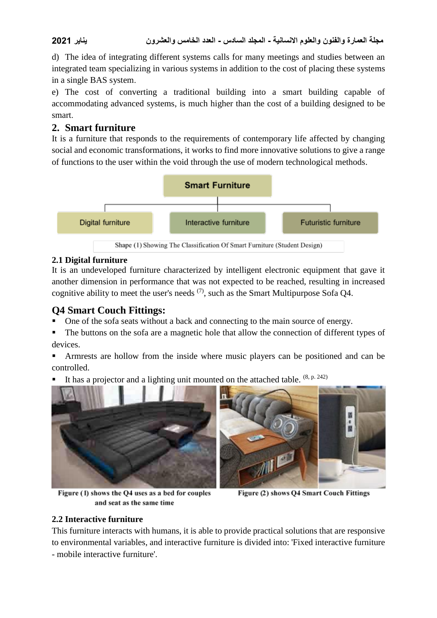d) The idea of integrating different systems calls for many meetings and studies between an integrated team specializing in various systems in addition to the cost of placing these systems in a single BAS system.

e) The cost of converting a traditional building into a smart building capable of accommodating advanced systems, is much higher than the cost of a building designed to be smart.

## **2. Smart furniture**

It is a furniture that responds to the requirements of contemporary life affected by changing social and economic transformations, it works to find more innovative solutions to give a range of functions to the user within the void through the use of modern technological methods.



Shape (1) Showing The Classification Of Smart Furniture (Student Design)

## **2.1 Digital furniture**

It is an undeveloped furniture characterized by intelligent electronic equipment that gave it another dimension in performance that was not expected to be reached, resulting in increased cognitive ability to meet the user's needs  $(7)$ , such as the Smart Multipurpose Sofa O4.

## **Q4 Smart Couch Fittings:**

One of the sofa seats without a back and connecting to the main source of energy.

 The buttons on the sofa are a magnetic hole that allow the connection of different types of devices.

 Armrests are hollow from the inside where music players can be positioned and can be controlled.

It has a projector and a lighting unit mounted on the attached table. <sup>(8, p. 242)</sup>





Figure (1) shows the Q4 uses as a bed for couples and seat as the same time

Figure (2) shows Q4 Smart Couch Fittings

## **2.2 Interactive furniture**

This furniture interacts with humans, it is able to provide practical solutions that are responsive to environmental variables, and interactive furniture is divided into: 'Fixed interactive furniture - mobile interactive furniture'.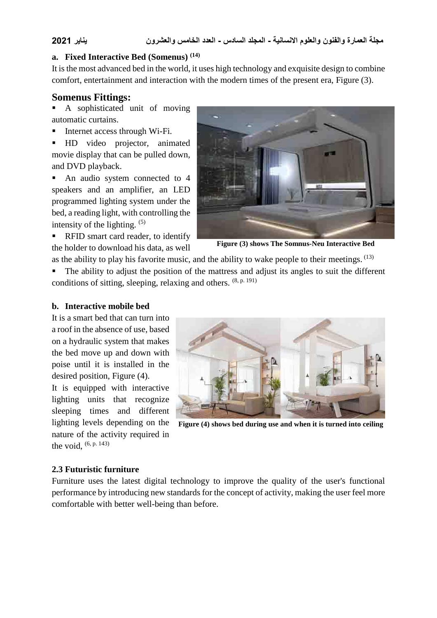#### **a. Fixed Interactive Bed (Somenus) (14)**

It is the most advanced bed in the world, it uses high technology and exquisite design to combine comfort, entertainment and interaction with the modern times of the present era, Figure (3).

#### **Somenus Fittings:**

 A sophisticated unit of moving automatic curtains.

Internet access through Wi-Fi.

 HD video projector, animated movie display that can be pulled down, and DVD playback.

• An audio system connected to 4 speakers and an amplifier, an LED programmed lighting system under the bed, a reading light, with controlling the intensity of the lighting. (5)

**RFID** smart card reader, to identify the holder to download his data, as well



**Figure (3) shows The Somnus-Neu Interactive Bed**

as the ability to play his favorite music, and the ability to wake people to their meetings.  $^{(13)}$ 

 The ability to adjust the position of the mattress and adjust its angles to suit the different conditions of sitting, sleeping, relaxing and others. (8, p. 191)

#### **b. Interactive mobile bed**

It is a smart bed that can turn into a roof in the absence of use, based on a hydraulic system that makes the bed move up and down with poise until it is installed in the desired position, Figure (4).

It is equipped with interactive lighting units that recognize sleeping times and different lighting levels depending on the nature of the activity required in the void,  $(6, p. 143)$ 



**Figure (4) shows bed during use and when it is turned into ceiling**

#### **2.3 Futuristic furniture**

Furniture uses the latest digital technology to improve the quality of the user's functional performance by introducing new standards for the concept of activity, making the user feel more comfortable with better well-being than before.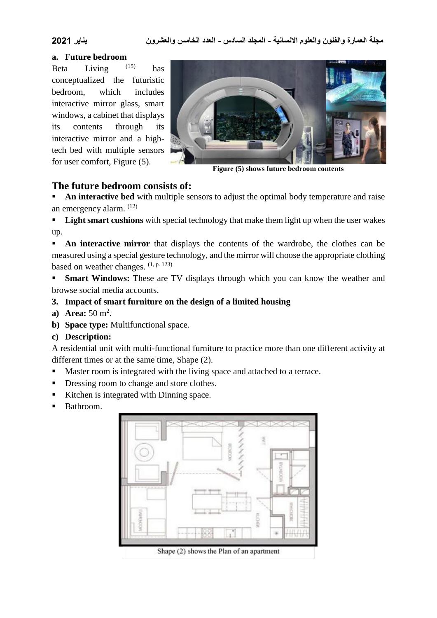#### **a. Future bedroom**

Beta Living  $^{(15)}$ has conceptualized the futuristic bedroom, which includes interactive mirror glass, smart windows, a cabinet that displays its contents through its interactive mirror and a hightech bed with multiple sensors for user comfort, Figure (5).



**Figure (5) shows future bedroom contents**

## **The future bedroom consists of:**

 **An interactive bed** with multiple sensors to adjust the optimal body temperature and raise an emergency alarm. (12)

**Light smart cushions** with special technology that make them light up when the user wakes up.

**An interactive mirror** that displays the contents of the wardrobe, the clothes can be measured using a special gesture technology, and the mirror will choose the appropriate clothing based on weather changes.  $(1, p. 123)$ 

**Smart Windows:** These are TV displays through which you can know the weather and browse social media accounts.

#### **3. Impact of smart furniture on the design of a limited housing**

- **a**) **Area:** 50 m<sup>2</sup>.
- **b) Space type:** Multifunctional space.

#### **c) Description:**

A residential unit with multi-functional furniture to practice more than one different activity at different times or at the same time, Shape (2).

- Master room is integrated with the living space and attached to a terrace.
- Dressing room to change and store clothes.
- Kitchen is integrated with Dinning space.
- Bathroom.



Shape (2) shows the Plan of an apartment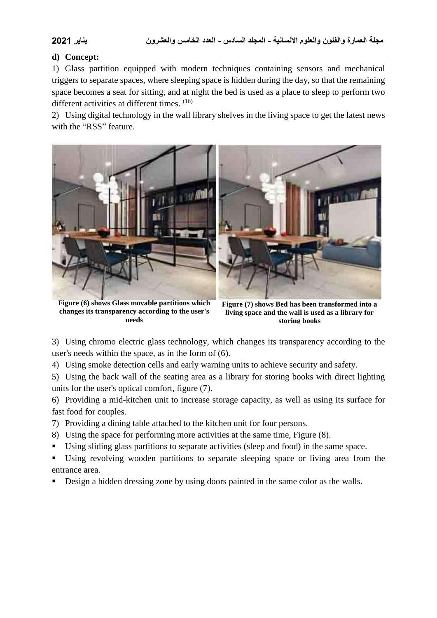#### **d) Concept:**

1) Glass partition equipped with modern techniques containing sensors and mechanical triggers to separate spaces, where sleeping space is hidden during the day, so that the remaining space becomes a seat for sitting, and at night the bed is used as a place to sleep to perform two different activities at different times. (16)

2) Using digital technology in the wall library shelves in the living space to get the latest news with the "RSS" feature.



**Figure (6) shows Glass movable partitions which changes its transparency according to the user's needs**

**Figure (7) shows Bed has been transformed into a living space and the wall is used as a library for storing books**

3) Using chromo electric glass technology, which changes its transparency according to the user's needs within the space, as in the form of (6).

4) Using smoke detection cells and early warning units to achieve security and safety.

5) Using the back wall of the seating area as a library for storing books with direct lighting units for the user's optical comfort, figure (7).

6) Providing a mid-kitchen unit to increase storage capacity, as well as using its surface for fast food for couples.

7) Providing a dining table attached to the kitchen unit for four persons.

- 8) Using the space for performing more activities at the same time, Figure (8).
- Using sliding glass partitions to separate activities (sleep and food) in the same space.
- Using revolving wooden partitions to separate sleeping space or living area from the entrance area.
- Design a hidden dressing zone by using doors painted in the same color as the walls.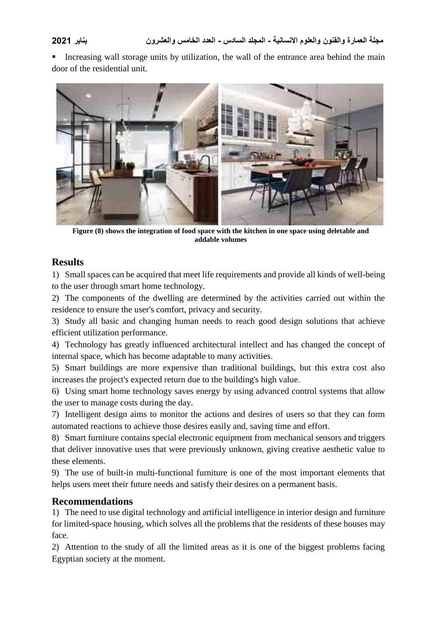Increasing wall storage units by utilization, the wall of the entrance area behind the main door of the residential unit.



**Figure (8) shows the integration of food space with the kitchen in one space using deletable and addable volumes**

## **Results**

1) Small spaces can be acquired that meet life requirements and provide all kinds of well-being to the user through smart home technology.

2) The components of the dwelling are determined by the activities carried out within the residence to ensure the user's comfort, privacy and security.

3) Study all basic and changing human needs to reach good design solutions that achieve efficient utilization performance.

4) Technology has greatly influenced architectural intellect and has changed the concept of internal space, which has become adaptable to many activities.

5) Smart buildings are more expensive than traditional buildings, but this extra cost also increases the project's expected return due to the building's high value.

6) Using smart home technology saves energy by using advanced control systems that allow the user to manage costs during the day.

7) Intelligent design aims to monitor the actions and desires of users so that they can form automated reactions to achieve those desires easily and, saving time and effort.

8) Smart furniture contains special electronic equipment from mechanical sensors and triggers that deliver innovative uses that were previously unknown, giving creative aesthetic value to these elements.

9) The use of built-in multi-functional furniture is one of the most important elements that helps users meet their future needs and satisfy their desires on a permanent basis.

## **Recommendations**

1) The need to use digital technology and artificial intelligence in interior design and furniture for limited-space housing, which solves all the problems that the residents of these houses may face.

2) Attention to the study of all the limited areas as it is one of the biggest problems facing Egyptian society at the moment.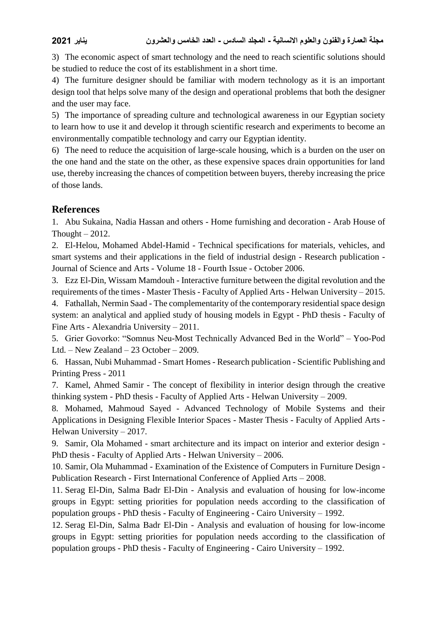3) The economic aspect of smart technology and the need to reach scientific solutions should be studied to reduce the cost of its establishment in a short time.

4) The furniture designer should be familiar with modern technology as it is an important design tool that helps solve many of the design and operational problems that both the designer and the user may face.

5) The importance of spreading culture and technological awareness in our Egyptian society to learn how to use it and develop it through scientific research and experiments to become an environmentally compatible technology and carry our Egyptian identity.

6) The need to reduce the acquisition of large-scale housing, which is a burden on the user on the one hand and the state on the other, as these expensive spaces drain opportunities for land use, thereby increasing the chances of competition between buyers, thereby increasing the price of those lands.

## **References**

1. Abu Sukaina, Nadia Hassan and others - Home furnishing and decoration - Arab House of Thought  $-2012$ .

2. El-Helou, Mohamed Abdel-Hamid - Technical specifications for materials, vehicles, and smart systems and their applications in the field of industrial design - Research publication - Journal of Science and Arts - Volume 18 - Fourth Issue - October 2006.

3. Ezz El-Din, Wissam Mamdouh - Interactive furniture between the digital revolution and the requirements of the times - Master Thesis - Faculty of Applied Arts - Helwan University – 2015. 4. Fathallah, Nermin Saad - The complementarity of the contemporary residential space design system: an analytical and applied study of housing models in Egypt - PhD thesis - Faculty of

Fine Arts - Alexandria University – 2011.

5. Grier Govorko: "Somnus Neu-Most Technically Advanced Bed in the World" – Yoo-Pod Ltd. – New Zealand – 23 October – 2009.

6. Hassan, Nubi Muhammad - Smart Homes - Research publication - Scientific Publishing and Printing Press - 2011

7. Kamel, Ahmed Samir - The concept of flexibility in interior design through the creative thinking system - PhD thesis - Faculty of Applied Arts - Helwan University – 2009.

8. Mohamed, Mahmoud Sayed - Advanced Technology of Mobile Systems and their Applications in Designing Flexible Interior Spaces - Master Thesis - Faculty of Applied Arts - Helwan University – 2017.

9. Samir, Ola Mohamed - smart architecture and its impact on interior and exterior design - PhD thesis - Faculty of Applied Arts - Helwan University – 2006.

10. Samir, Ola Muhammad - Examination of the Existence of Computers in Furniture Design - Publication Research - First International Conference of Applied Arts – 2008.

11. Serag El-Din, Salma Badr El-Din - Analysis and evaluation of housing for low-income groups in Egypt: setting priorities for population needs according to the classification of population groups - PhD thesis - Faculty of Engineering - Cairo University – 1992.

12. Serag El-Din, Salma Badr El-Din - Analysis and evaluation of housing for low-income groups in Egypt: setting priorities for population needs according to the classification of population groups - PhD thesis - Faculty of Engineering - Cairo University – 1992.